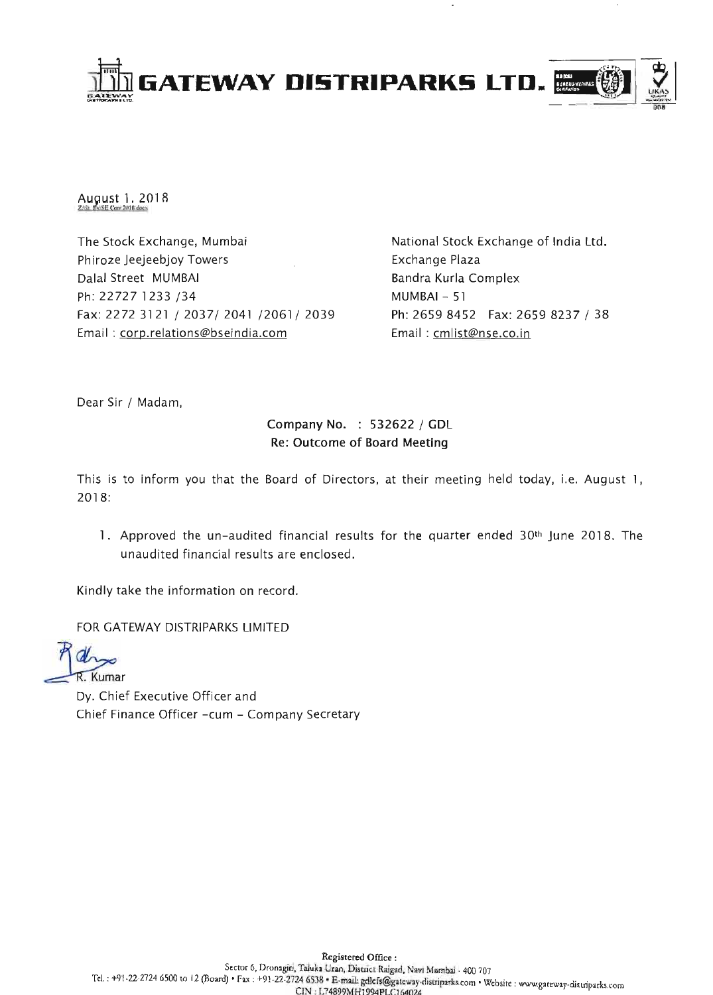

August 1, 2018

The Stock Exchange, Mumbai Phiroze Jeejeebjoy Towers Dalal Street MUMBAI Ph: 22727 1233 / 34 Fax: 2272 3121 / 2037/ 2041 / 2061 / 2039 Email : corp.relations@bseindia.com

National Stock Exchange of India Ltd. Exchange Plaza Bandra Kurla Complex  $MUMBAI - 51$ Ph: 2659 8452 Fax: 26598237 / 38 Email : cmlist@nse.co.in

Dear Sir / Madam,

# Company No. : 532622 / GDL Re: Outcome of Board Meeting

This is to inform you that the Board of Directors, at their meeting held today, i.e. August 1, 2018:

1. Approved the un-audited financial results for the quarter ended 30th June 2018. The unaudited financial results are enclosed.

Kindly take the information on record.

FOR GATEWAY DISTRIPARKS LIMITED

Kumar

Dy. Chief Executive Officer and Chief Finance Officer -cum - Company Secretary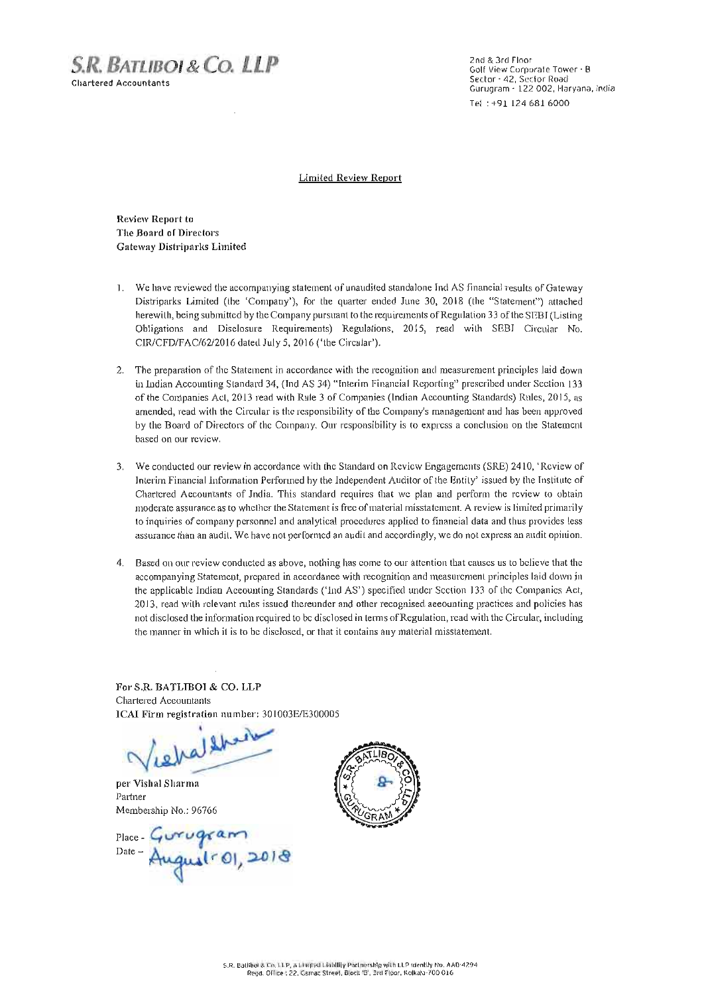S.R. BATLIBOI & CO. **LLP**  Chartered Accountants

2nd & 3rd Floor Golf View Corporate Tower - 8 Sector - 42, Sector Road Gurugram - 122 002, Haryana, India Tel : +91 124 681 6000

Limited Review Report

Review Report to The Board of Directors Gateway Distriparks Limited

- 1. We have reviewed the accompanying statement of unaudited standalone Ind AS financial results of Gateway Distriparks Limited (the 'Company'), for the quarter ended June 30, 2018 (the "Statement") attached herewith, being submitted by the Company pursuant to the requirements of Regulation 33 of the SEBI (Listing Obligations and Disclosure Requirements) Regulations, 2015, read with SEBI Circular No. *C1R1CFD/F AC/62/20* 16 dated July 5, 2016 ('the Circular').
- 2, The preparation of the Statement in accordance with the recognition and measurement principles laid down in Indian Accounting Standard 34, (Ind AS 34) "Interim Financial Reporting" prescribed under Section 133 of the Companies Act, 2013 read with Rule 3 of Companies (Indian Accounting Standards) Rules, 2015, as amended, read with the Circular is the responsibility of the Company's management and has been approved by the Board of Directors of the Company. Our responsibility is to express a conclusion on the Statement based on our review.
- 3, We conducted our review in accordance with the Standard on Rcvicw Engagements (SRE) 24 10, 'Review of Intcrim Financial Information Performed by the Independent Auditor of the Entity' issued by the Institute of Chartered Accountants of India. This standard requires that we plan and perform the review to obtain moderate assurance as to whether the Statement is free of material misstatement. A review is limited primarily to inquiries of company pcrsonnel and analytical procedures applied to financial data and thus provides less assurance than an audit. We have not performed an audit and accordingly, we do not express an audit opinion.
- 4. Based on our review conducted as above, nothing has come to our attention that causes us to believe that the accompanying Statement, prepared in accordance with recognition and measurement principles laid down in the applicable Indian Aceounting Standards ('ind AS') specified under Section 133 of the Companies Act, 2013, read with rclevant rules issucd thereunder and other recognised accounting practices and policies has not disclosed the information required to be disclosed in terms of Regulation, rcad with the Circular, including the manner in which it is to be disclosed, or that it contains any material misstatement.

For S.R. BATLIDOI & CO. LLP Chartered Accountants ICAI Firm registration number: *301003E/E300005* 

ilbert iela

per Vishal Sharma Partner Membership No,: 96766

Place-Gurugram<br>Date-August-01, 2018

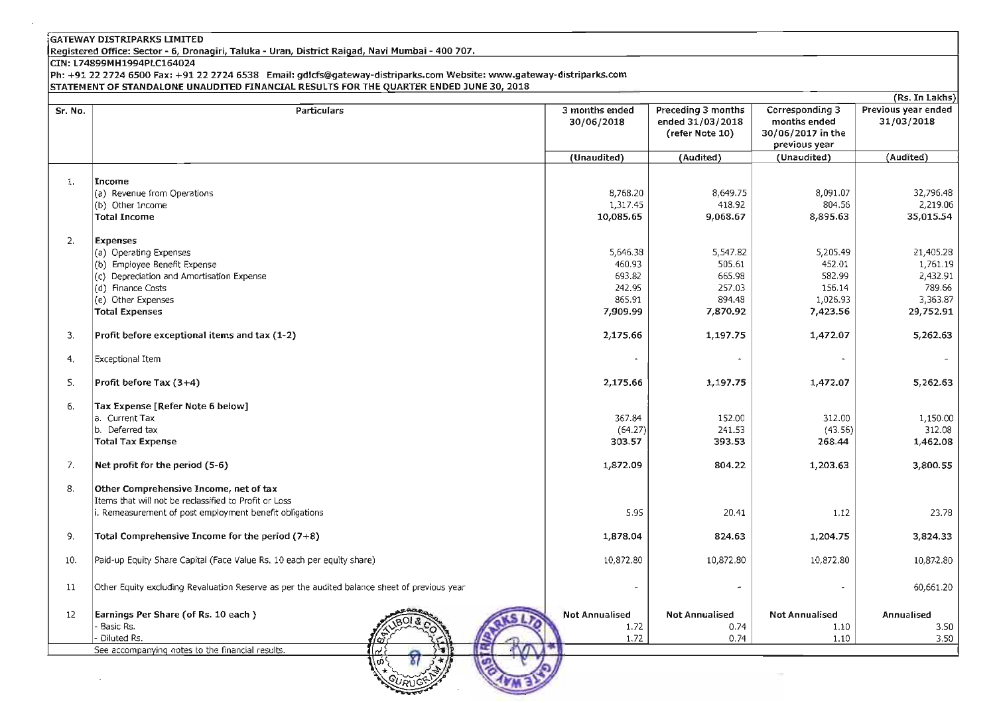Registered Office: Sector - 6, Dronagiri, Taluka - Uran, District Raigad, Navi Mumbai - 400 707.

CIN: L74899MH1994PLC164024

Ph: +91 22 27246500 Fax: +912227246538 Email: gdlcfs@gateway-distriparks.com Website: www.gateway-distriparks.com STATEMENT OF STANDALONE UNAUDITED FINANCIAL RESULTS FOR THE QUARTER ENDED JUNE 30, 2018

|         |                                                                                              |                              |                                                           |                                                      | (Rs. In Lakhs)                    |
|---------|----------------------------------------------------------------------------------------------|------------------------------|-----------------------------------------------------------|------------------------------------------------------|-----------------------------------|
| Sr. No. | <b>Particulars</b>                                                                           | 3 months ended<br>30/06/2018 | Preceding 3 months<br>ended 31/03/2018<br>(refer Note 10) | Corresponding 3<br>months ended<br>30/06/2017 in the | Previous year ended<br>31/03/2018 |
|         |                                                                                              |                              |                                                           | previous year                                        |                                   |
|         |                                                                                              | (Unaudited)                  | (Audited)                                                 | (Unaudited)                                          | (Audited)                         |
|         |                                                                                              |                              |                                                           |                                                      |                                   |
| 1.      | Income                                                                                       |                              |                                                           |                                                      |                                   |
|         | (a) Revenue from Operations                                                                  | 8,768.20                     | 8,649.75                                                  | 8,091.07                                             | 32,796.48                         |
|         | (b) Other Income                                                                             | 1,317.45                     | 418.92                                                    | 804.56                                               | 2,219.06                          |
|         | <b>Total Income</b>                                                                          | 10,085.65                    | 9,068.67                                                  | 8,895.63                                             | 35,015.54                         |
|         |                                                                                              |                              |                                                           |                                                      |                                   |
| 2.      | <b>Expenses</b>                                                                              |                              |                                                           |                                                      |                                   |
|         | (a) Operating Expenses                                                                       | 5,646.38                     | 5,547.82                                                  | 5,205.49                                             | 21,405.28                         |
|         | (b) Employee Benefit Expense                                                                 | 460.93                       | 505.61                                                    | 452.01                                               | 1,761.19                          |
|         | (c) Depreciation and Amortisation Expense                                                    | 693.82                       | 665.98                                                    | 582.99                                               | 2,432.91                          |
|         | (d) Finance Costs                                                                            | 242.95                       | 257.03                                                    | 156.14                                               | 789.66                            |
|         | (e) Other Expenses                                                                           | 865.91                       | 894.48                                                    | 1,026.93                                             | 3,363.87                          |
|         | <b>Total Expenses</b>                                                                        | 7,909.99                     | 7,870.92                                                  | 7,423.56                                             | 29,752.91                         |
|         |                                                                                              |                              |                                                           |                                                      |                                   |
| 3.      | Profit before exceptional items and tax (1-2)                                                | 2,175.66                     | 1,197.75                                                  | 1,472.07                                             | 5,262.63                          |
| 4.      | Exceptional Item                                                                             |                              |                                                           |                                                      |                                   |
| 5.      | Profit before Tax $(3+4)$                                                                    | 2,175.66                     | 1,197.75                                                  | 1,472.07                                             | 5,262.63                          |
| 6.      | Tax Expense [Refer Note 6 below]                                                             |                              |                                                           |                                                      |                                   |
|         | a. Current Tax                                                                               | 367.84                       | 152.00                                                    | 312.00                                               | 1,150.00                          |
|         | b. Deferred tax                                                                              | (64.27)                      | 241.53                                                    | (43.56)                                              | 312.08                            |
|         | <b>Total Tax Expense</b>                                                                     | 303.57                       | 393.53                                                    | 268.44                                               | 1,462.08                          |
| 7.      | Net profit for the period (5-6)                                                              | 1,872.09                     | 804.22                                                    | 1,203.63                                             | 3,800.55                          |
| 8.      | Other Comprehensive Income, net of tax                                                       |                              |                                                           |                                                      |                                   |
|         | Items that will not be reclassified to Profit or Loss                                        |                              |                                                           |                                                      |                                   |
|         | i. Remeasurement of post employment benefit obligations                                      | 5.95                         | 20.41                                                     | 1.12                                                 | 23.78                             |
|         |                                                                                              |                              |                                                           |                                                      |                                   |
| 9.      | Total Comprehensive Income for the period (7+8)                                              | 1,878.04                     | 824.63                                                    | 1,204.75                                             | 3,824.33                          |
| 10.     | Paid-up Equity Share Capital (Face Value Rs. 10 each per equity share)                       | 10,872.80                    | 10,872.80                                                 | 10,872.80                                            | 10,872.80                         |
| 11      | Other Equity excluding Revaluation Reserve as per the audited balance sheet of previous year |                              |                                                           |                                                      | 60,661.20                         |
| 12      | Earnings Per Share (of Rs. 10 each)                                                          | <b>Not Annualised</b>        | <b>Not Annualised</b>                                     | <b>Not Annualised</b>                                | Annualised                        |
|         | Basic Rs.                                                                                    | 1.72                         | 0.74                                                      | 1.10                                                 | 3.50                              |
|         | Diluted Rs.                                                                                  | 1.72                         | 0.74                                                      | 1.10                                                 | 3.50                              |
|         | See accompanying notes to the financial results.<br>۰                                        |                              |                                                           |                                                      |                                   |
|         |                                                                                              |                              |                                                           |                                                      |                                   |

 $\sim$   $\sim$   $\sim$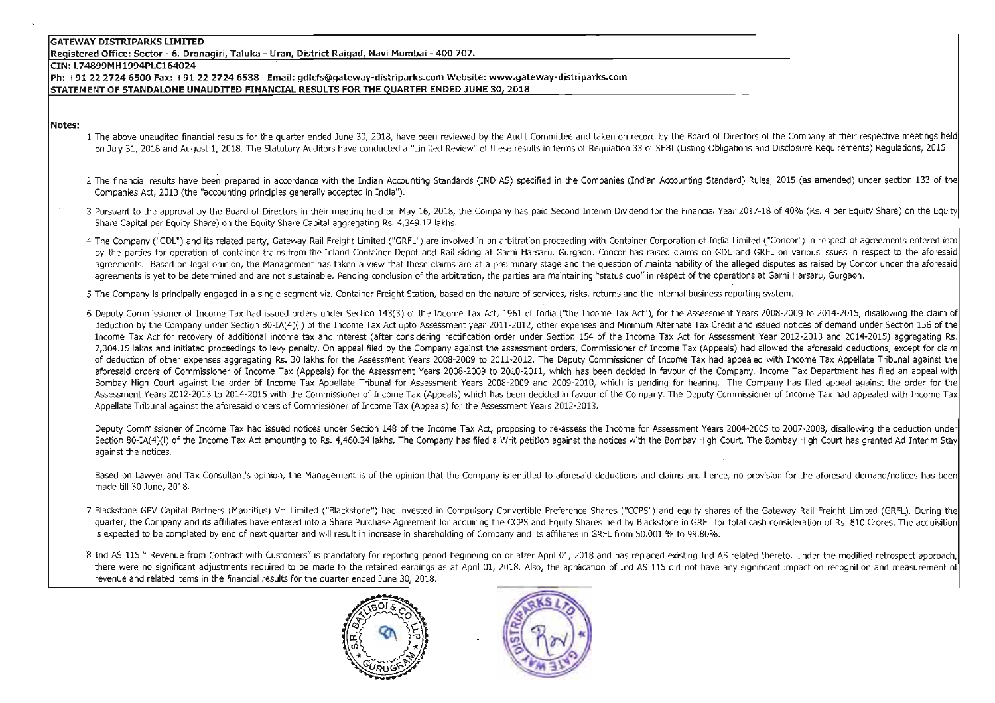**Registered Office: Sector - 6, Dronagiri, Taluka - Uran, District Raigad, Navi Mumbai - 400 707.** 

#### CIN: L74899MH1994PLCl64024

**Ph: +91 22 2724 6500 Fax: +91 22 2724 6538 Email: gdlcfs@gateway-distriparks.com Website: www.gateway-distriparks.com**  STATEMENT OF STANDALONE UNAUDITED FINANClAL RESULTS FOR THE QUARTER ENDED JUNE 30, 2018

#### **Notes:**

- 1 The above unaudited financial results for the quarter ended June 30, 2018, have been reviewed by the Audit Committee and taken on record by the Board of Directors of the Company at their respective meetings held on July 31, 2018 and August 1, 2018. The Statutory Auditors have conducted a "Limited Review" of these results in terms of Regulation 33 of SEBI (Listing Obligations and Disclosure Requirements) Regulations, 2015.
- 2 The financial results have been prepared in accordance with the Indian Accounting Standards (IND AS) specified in the Companies (Indian Accounting Standard) Rules, 2015 (as amended) under section 133 of the Companies Act, 2013 (the "accounting principles generally accepted in India").
- 3 Pursuant to the approval by the Board of Directors in their meeting held on May 16, 2018, the Company has paid Second Interim Dividend for the Financial Year 2017-18 of 40% (Rs. 4 per Equity Share) on the Equity Share Capital per Equity Share) on the Equity Share Capital aggregating Rs. 4,349.12 lakhs.
- 4 The Company ("GDL") and its related party, Gateway Rail Freight Limited ("GRFL") are involved in an arbitration proceeding with Container Corporation of India Limited ("Concor") in respect of agreements entered into by the parties for operation of container trains from the Inland Container Depot and Rail siding at Garhi Harsaru, Gurgaon. Concor has raised claims on GDL and GRFL on various issues in respect to the aforesaid agreements. Based on legal opinion, the Management has taken a view that these claims are at a preliminary stage and the question of maintainability of the alleged disputes as raised by Concor under the aforesaid agreements is vet to be determined and are not sustainable. Pending conclusion of the arbitration, the parties are maintaining "status quo" in respect of the operations at Garhi Harsaru, Gurgaon.
- 5 The Company is principally engaged in a single segment viz. Container Freight Station, based on the nature of services, risks, returns and the internal business reporting system.
- 6 Deputy Commissioner of Income Tax had issued orders under Section 143(3) of the Income Tax Act, 1961 of India ("the Income Tax Act"), for the Assessment Years 2008-2009 to 2014-2015, disallowing the claim 0 deduction by the Company under Section 80-IA(4)(i) of the Income Tax Act upto Assessment year 2011-2012, other expenses and Minimum Alternate Tax Credit and issued notices of demand under Section 156 of the Income Tax Act for recovery of additional income tax and interest (after considering rectification order under Section 154 of the Income Tax Act for Assessment Year 2012-2013 and 2014-2015) aggregating Rs. 7,304.15 lakhs and initiated proceedings to levy penalty. On appeal filed by the Company against the assessment orders, Commissioner of Income Tax (Appeals) had allowed the aforesaid deductions, except for claim of deduction of other expenses aggregating Rs. 30 lakhs for the Assessment Years 2008-2009 to 2011-2012. The Deputy Commissioner of Income Tax had appealed with Income Tax Appellate Tribunal against the aforesaid orders of Commissioner of Income Tax (Appeals) for the Assessment Years 2008-2009 to 2010-2011, which has been decided in favour of the Company. Income Tax Department has filed an appeal with Bombay High Court against the order of Income Tax Appellate Tribunal for Assessment Years 2008-2009 and 2009-2010, which is pending for hearing. The Company has filed appeal against the order for the Assessment Years 2012-2013 to 2014-2015 with the Commissioner of Income Tax (Appeals) which has been decided in favour of the Company. The Deputy Commissioner of Income Tax had appealed with Income Tax Appellate Tribunal against the aforesaid orders of Commissioner of Income Tax (Appeals) for the Assessment Years 2012-2013.

Deputy Commissioner of Income Tax had issued notices under Section 148 of the Income Tax Act, proposing to re-assess the Income for Assessment Years 2004-2005 to 2007-2008, disallowing the deduction under Section 80-IA(4)(i) of the Income Tax Act amounting to Rs. 4,460.34 lakhs. The Company has filed a Writ petition against the notices with the Bombay High Court. The Bombay High Court has granted Ad Interim Stay against the notices.

Based on Lawyer and Tax Consultant's opinion, the Management is of the opinion that the Company is entitled to aforesaid deductions and claims and hence, no provision for the aforesaid demand/notices has been made till 30 June, 2018.

- 7 Blackstone GPV Capital Partners (Mauritius) VH limited ("Blackstone") had invested in Compulsory Convertible Preference Shares ("CCPS") and equity shares of the Gateway Rail Freight limited (GRFL). During the quarter, the Company and its affiliates have entered into a Share Purchase Agreement for acquiring the CCPS and Equity Shares held by Blackstone in GRFL for total cash consideration of Rs. 810 Crores. The acquisition is expected to be completed by end of next quarter and will result in increase in shareholding of Company and its affiliates in GRFL from 50.001 % to 99.80%.
- 8 Ind AS 115 " Revenue from Contract with Customers" is mandatory for reporting period beginning on or after April 01, 2018 and has replaced existing Ind AS related thereto. Under the modified retrospect approach, there were no significant adjustments required to be made to the retained earnings as at April 01, 2018. Also, the application of Ind AS 115 did not have any significant impact on recognition and measurement of revenue and related items in the financial results for the ouarter ended June 30, 2018.



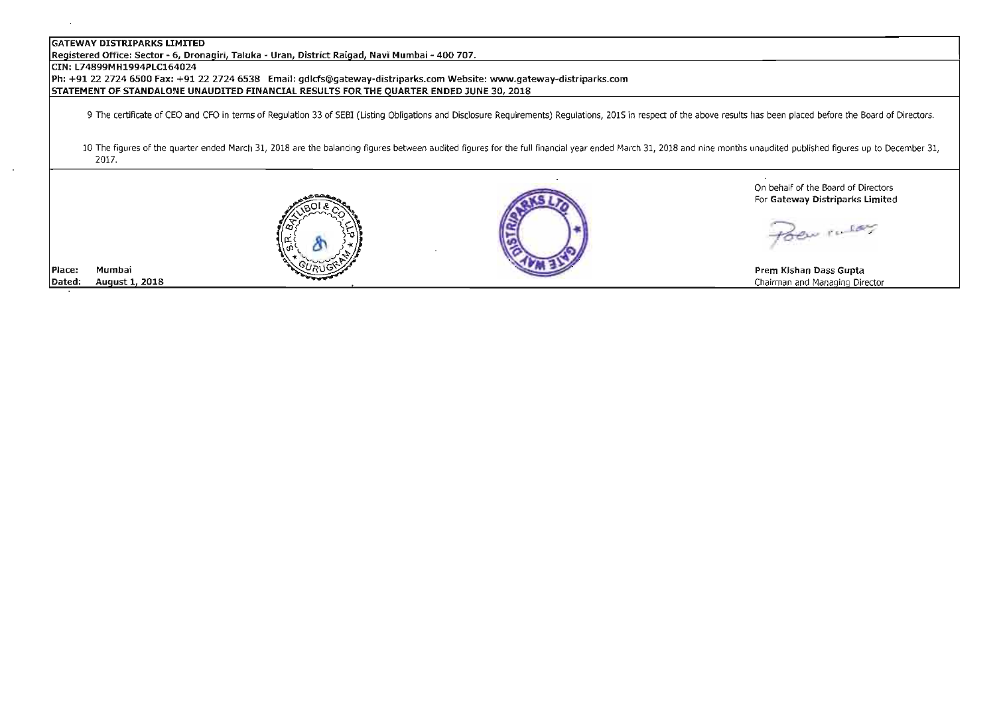Registered Office: Sector - 6, Dronagiri, Taluka - Uran, District Raigad, Navi Mumbai - 400 707.

## CIN: L74899MH1994PLC164024

Place:

Dated:

Mumbai

August 1, 2018

2227246538 Email: gdlds@gateway-distriparks.com Website: www.gateway-distriparks.com STATEMENT OF STANDALONE UNAUDITED FINANCIAL RESULTS FOR THE QUARTER ENDED JUNE 30, 2018

9 The certificate of CEO and CFO in terms of Regulation 33 of SEBI (listing Obligations and Disclosure Requirements) Regulations, 2015 in respect of the above results has been placed before the Board of Directors.

10 The figures of the quarter ended March 31, 2018 are the balancing figures between audited figures for the full financial year ended March 31, 2018 and nine months unaudited published figures up to December 31, 2017.





On behalf of the Board of Directors For Gateway Oistriparks Limited

Zen ruley

Prem Kishan Oass Gupta Chairman and Managing Director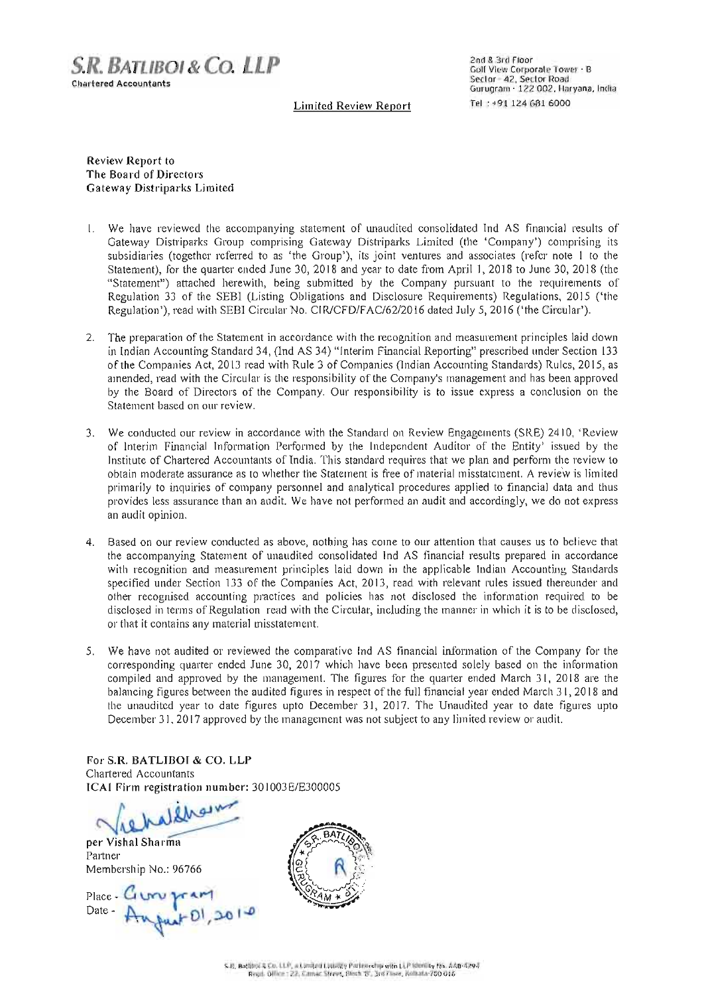

**2nd & 3rd floor Golf View Corporate Tower · B Sector - 42, Sector Road Gurugram - 122 002, Haryana. India Tel : +91124 681 6000** 

**Limited Review Report** 

Review Report to The Board of Directors Gateway Distriparks Limited

- **l. We have reviewed the accompany ing statement of unaudited consol idated Ind AS financial results of**  Gateway Distriparks Group comprising Gateway Distriparks Limited (the 'Company') comprising its subsidiaries (together referred to as 'the Group'), its joint ventures and associates (refer note I to the Statement), for the quarter ended June 30, 2018 and year to date from April I, 2018 to June 30, 2018 (the "Statement") attached herewith, being submitted by the Company pursuant to the requirements of Regulation 33 of the SEBI (Listing Obligations and Disclosure Requirements) Regulations, 2015 ('the Regulation'), read with SEBI Circular No. CIR/CFD/FAC/62/2016 dated July 5, 2016 ('the Circular').
- **2. The preparation or the Statement in accordance with the recognition and measurement principles laid down**  in Indian Accounting Standard 34, (Ind AS 34) "Interim Financial Reporting" prescribed under Section 133 of the Companies Act, 2013 read with Rule 3 of Companies (Indian Accounting Standards) Rules, 20 15, as **amended, read with the Circular is the responsibility** of the **Company's management and has been approved by the Board of Directors of the Company. Our responsibility is to issue express a conclusion on the Statement based on our review.**
- **3.** We conducted our review in accordance with the Standard on Review Engagements (SRE) 2410, 'Review of Interim Financial Information Performed by the Independent Aud itor of the Entity' issued by the Institute of Chartered Accountants of India. This standard requires that we plan and perform the review to **obtain moderate assurance as to whether the Statement is free of material misstatement. A review is limited**  primarily to inquiries of company personnel and analytical procedures applied to financial data and thus **provides less assurance than an audit. We have not performed an audit and accordingly, we do not express an audit opinion.**
- **4.** Based on our review conducted as above, nothing has come to our attention that causes us to believe that **the accompanying Statement of unaudited consolidated Ind AS financial results prepared in accordance with recognition and measurement principles laid down in the applicable Indian Accounting Standards**  specified under Section 133 of the Companies Act, 20 13, read with relevant rules issued thereunder and **other recognised accounting practices and policies has not disclosed the information required to be**  disclosed in terms of Regulation read with the Circular, including the manner in which it is to be disclosed, **or that it contains any material misstatement.**
- **5. We have not audited or reviewed the comparative Ind AS financial information of the Company for the**  corresponding quarter ended June 30, 2017 which have been presented solely based on the information compiled and approved by the management. The figures for the quarter ended March 31, 2018 are the balancing figures between the audited figures in respect of the full financial year ended March 31, 2018 and the unaudited year to date figures upto December 31, 2017. The Unaudited year to date figures upto December 31, 2017 approved by the management was not subject to any limited review or audit.

For S.R. **BATLIBOI & CO. LLP Chartered Accountants**  ICAI Firm registration number: 301003E/E300005

Vietnathous Partner

**Partner**  Membership No.: 96766

Place -Date -

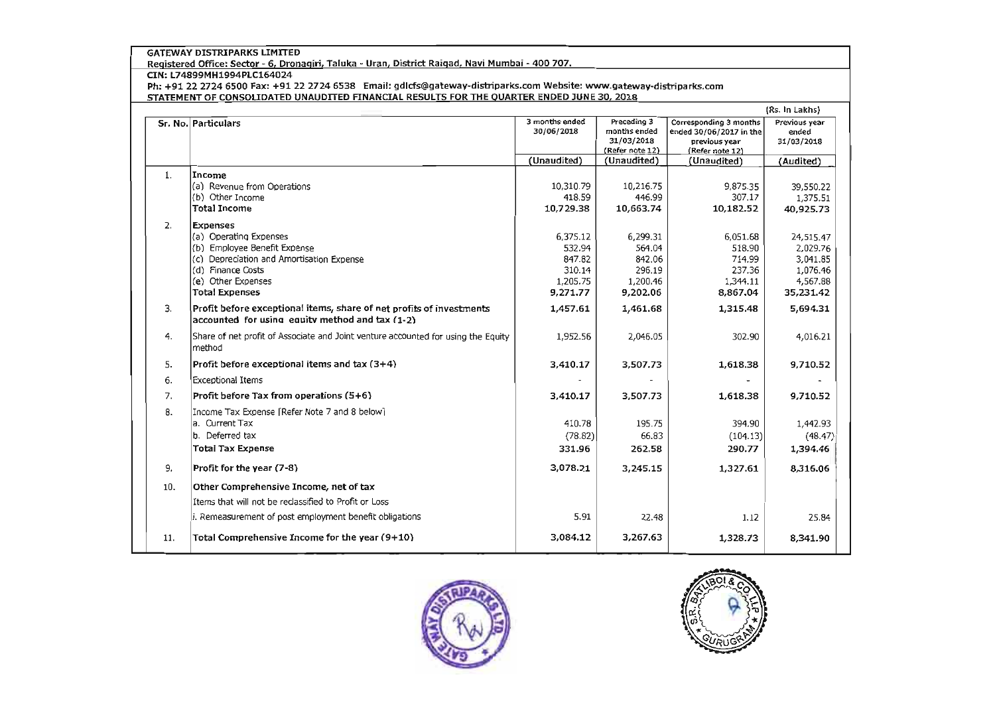Registered Office: Sector - 6, Dronagiri, Taluka - Uran, District Raigad, Navi Mumbai - 400 707.

CIN: L74899MH1994PLCl64024

Ph: +91 22 2724 6500 Fax: +91 22 2724 6538 Email: gdlcfs@gatewav-distriparks.com Website: www.gateway-distriparks.com STATEMENT OF CONSOLIDATED UNAUDITED FINANCIAL RESULTS FOR THE OILARTER ENDED JUNE 30, 2018

|     |                                                                                                                         | 3 months ended<br>Preceding 3<br>Corresponding 3 months |                                               |                                                             | (Rs. In Lakhs)<br>Previous year |  |
|-----|-------------------------------------------------------------------------------------------------------------------------|---------------------------------------------------------|-----------------------------------------------|-------------------------------------------------------------|---------------------------------|--|
|     | Sr. No. Particulars                                                                                                     | 30/06/2018                                              | months ended<br>31/03/2018<br>(Refer note 12) | ended 30/06/2017 in the<br>previous year<br>(Refer note 12) | ended<br>31/03/2018             |  |
|     |                                                                                                                         |                                                         |                                               |                                                             |                                 |  |
|     |                                                                                                                         | (Unaudited)                                             | (Unaudited)                                   | (Unaudited)                                                 | (Audited)                       |  |
| 1.  | Income                                                                                                                  |                                                         |                                               |                                                             |                                 |  |
|     | (a) Revenue from Operations                                                                                             | 10,310.79                                               | 10,216.75                                     | 9,875.35                                                    | 39,550.22                       |  |
|     | l(b) Other Income                                                                                                       | 418.59                                                  | 446.99                                        | 307.17                                                      | 1,375.51                        |  |
|     | Total Income                                                                                                            | 10,729.38                                               | 10,663.74                                     | 10,182.52                                                   | 40,925.73                       |  |
| 2.  | <b>Expenses</b>                                                                                                         |                                                         |                                               |                                                             |                                 |  |
|     | (a) Operating Expenses                                                                                                  | 6,375.12                                                | 6,299.31                                      | 6,051.68                                                    | 24,515.47                       |  |
|     | (b) Emoloyee Benefit Expense                                                                                            | 532.94                                                  | 564.04                                        | 518.90                                                      | 2,029.76                        |  |
|     | (c) Depreciation and Amortisation Expense                                                                               | 847.82                                                  | 842.06                                        | 714.99                                                      | 3,041.85                        |  |
|     | (d) Finance Costs                                                                                                       | 310.14                                                  | 296.19                                        | 237.36                                                      | 1,076.46                        |  |
|     | (e) Other Expenses                                                                                                      | 1,205,75                                                | 1,200.46                                      | 1,344.11                                                    | 4,567.88                        |  |
|     | Total Expenses                                                                                                          | 9,271.77                                                | 9,202.06                                      | 8,867.04                                                    | 35,231.42                       |  |
| 3.  | Profit before exceptional items, share of net profits of investments<br>accounted for using equity method and tax (1-2) | 1,457.61                                                | 1,461.68                                      | 1,315.48                                                    | 5,694.31                        |  |
| 4.  | Share of net profit of Associate and Joint venture accounted for using the Equity<br>method                             | 1,952.56                                                | 2,046.05                                      | 302.90                                                      | 4,016.21                        |  |
| 5.  | Profit before exceptional items and tax $(3+4)$                                                                         | 3,410.17                                                | 3,507.73                                      | 1,618.38                                                    | 9,710.52                        |  |
| 6.  | <b>Exceptional Items</b>                                                                                                |                                                         |                                               |                                                             |                                 |  |
| 7.  | Profit before Tax from operations (5+6)                                                                                 | 3,410.17                                                | 3,507.73                                      | 1,618.38                                                    | 9,710.52                        |  |
| 8.  | Income Tax Expense [Refer Note 7 and 8 below]                                                                           |                                                         |                                               |                                                             |                                 |  |
|     | a. Current Tax                                                                                                          | 410.78                                                  | 195.75                                        | 394.90                                                      | 1,442.93                        |  |
|     | b. Deferred tax                                                                                                         | (78.82)                                                 | 66.83                                         | (104.13)                                                    | (48.47)                         |  |
|     | <b>Total Tax Expense</b>                                                                                                | 331.96                                                  | 262.58                                        | 290.77                                                      | 1,394.46                        |  |
| 9.  | Profit for the year (7-8)                                                                                               | 3,078.21                                                | 3,245.15                                      | 1,327.61                                                    | 8,316.06                        |  |
| 10. | Other Comprehensive Income, net of tax                                                                                  |                                                         |                                               |                                                             |                                 |  |
|     | Items that will not be reclassified to Profit or Loss                                                                   |                                                         |                                               |                                                             |                                 |  |
|     | i. Remeasurement of post employment benefit obligations                                                                 | 5.91                                                    | 22.48                                         | 1.12                                                        | 25.84                           |  |
| 11. | Total Comprehensive Income for the year (9+10)                                                                          | 3,084.12                                                | 3,267.63                                      | 1,328.73                                                    | 8,341.90                        |  |



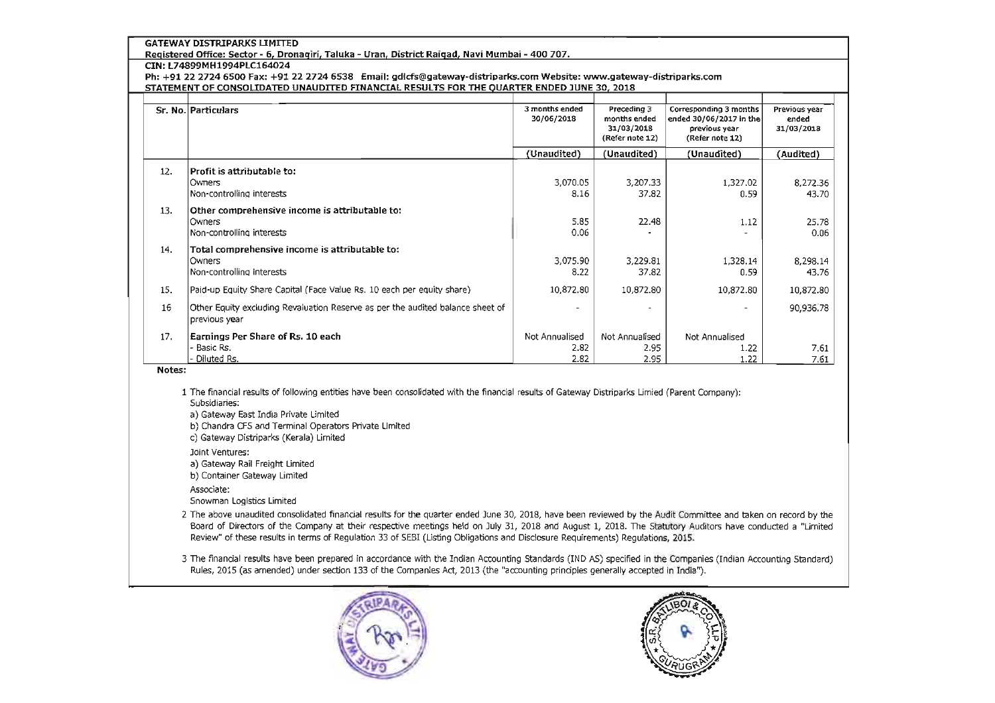Registered Office: Sector - 6, Dronagiri, Taluka - Uran, District Raigad, Navi Mumbai - 400 707.

## CIN: L74899MH1994PLC164024

Ph: +91 22 2724 6500 Fax: +91 22 2724 6538 Email: gdlcfs@gateway-distriparks.com Website: www.gateway-distriparks.com STATEMENT OF CONSOLIDATED UNAUDITED FINANCIAL RESULTS FOR THE OUARTER ENDED JUNE 30, 2018

|     | Sr. No. Particulars                                                            | 3 months ended<br>30/06/2018 | Preceding 3<br>months ended | Corresponding 3 months<br>ended 30/06/2017 in the | Previous year<br>ended |
|-----|--------------------------------------------------------------------------------|------------------------------|-----------------------------|---------------------------------------------------|------------------------|
|     |                                                                                |                              | 31/03/2018                  | previous year                                     | 31/03/2018             |
|     |                                                                                |                              | (Refer note 12)             | (Refer note 12)                                   |                        |
|     |                                                                                | (Unaudited)                  | (Unaudited)                 | (Unaudited)                                       | (Audited)              |
| 12. | Profit is attributable to:                                                     |                              |                             |                                                   |                        |
|     | <b>Owners</b>                                                                  | 3,070.05                     | 3,207.33                    | 1,327.02                                          | 8,272.36               |
|     | Non-controlling interests                                                      | 8.16                         | 37.82                       | 0.59                                              | 43.70                  |
| 13. | Other comprehensive income is attributable to:                                 |                              |                             |                                                   |                        |
|     | <b>Owners</b>                                                                  | 5.85                         | 22.48                       | 1.12                                              | 25.78                  |
|     | Non-controlling interests                                                      | 0.06                         |                             |                                                   | 0.06                   |
| 14. | Total comprehensive income is attributable to:                                 |                              |                             |                                                   |                        |
|     | <b>Owners</b>                                                                  | 3,075.90                     | 3.229.81                    | 1.328.14                                          | 8,298.14               |
|     | Non-controlling interests                                                      | 8.22                         | 37.82                       | 0.59                                              | 43.76                  |
| 15. | Paid-up Equity Share Capital (Face Value Rs. 10 each per equity share)         | 10,872.80                    | 10,872.80                   | 10,872.80                                         | 10,872.80              |
| 16  | Other Equity excluding Revaluation Reserve as per the audited balance sheet of |                              |                             |                                                   | 90,936.78              |
|     | previous year                                                                  |                              |                             |                                                   |                        |
| 17. | Earnings Per Share of Rs. 10 each                                              | Not Annualised               | Not Annualised              | Not Annualised                                    |                        |
|     | Basic Rs.                                                                      | 2.82                         | 2.95                        | 1.22                                              | 7.61                   |
|     | Diluted Rs.                                                                    | 2.82                         | 2.95                        | 1.22                                              | 7.61                   |

## Notes:

1 The financial results of following entities have been consolidated with the financial results of Gateway Distriparks Umied (Parent Company): SubSidiaries:

a) Gateway East India Private Umited

b) Chandra CfS and Terminal Operators Private Umited

- c) Gateway Distriparks (Kerala) Umited
- Joint Ventures:

a) Gateway Rail Freight Limited

b) Container Gateway Umited

Associate:

Snowman Logistics Limited

2 The above unaudited consolidated financial results for the quarter ended June 30, 2018, have been reviewed by the Audit Committee and taken on record by the Board of Directors of the Company at their respective meetings held on July 31, 2018 and August 1, 2018. The Statutory Auditors have conducted a "Limited Review" of these results in terms of Regulation 33 of SEBI (Usting Obligations and Disclosure Requirements) Regulations, 2015.

3 The financial results have been prepared in accordance with the Indian Accounting Standards (IND AS) specified in the Companies (Indian Accounting Standard) Rules, 2015 (as amended) under section 133 of the Companies Act, 2013 (the "accounting principles generally accepted in India").



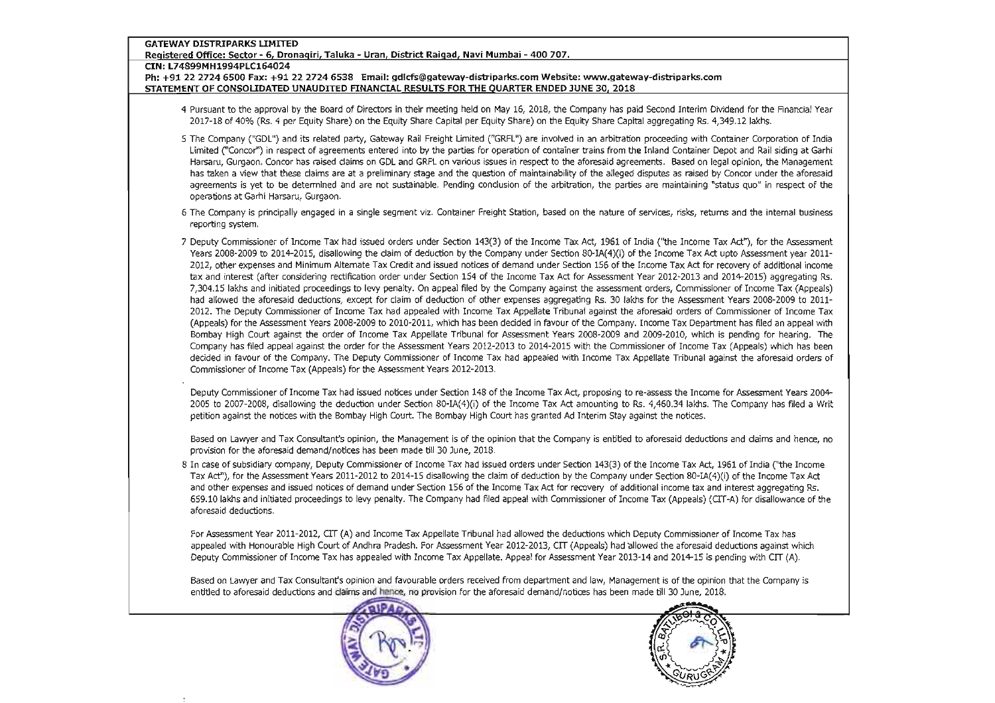#### Registered Office: Sector - 6, Dronagiri, Taluka - Uran, District Raigad, Navi Mumbai - 400 707.

CIN: L74899MH1994PLC164024

#### 22 2724 6538 Email: gdlcfs@gatewav-distriparks.com Website: www.gatewav-distriparks.com STATEMENT OF CONSOLIDATED UNAUDITED FINANCIAL RESULTS FOR THE OUARTER ENDED JUNE 30, 2018

4 Pursuant to the approval by the Board of Directors in their meeting held on May 16, 2018, the Company has paid Second Interim Dividend for the Rnancial Year 2017-18 of 40% (Rs. 4 per Equity Share) on the Equity Share Capital per Equity Share) on the Equity Share Capital aggregating Rs. 4,349.12Iakhs.

- 5 The Company ("GDL") and its related party, Gateway Rail Freight Limited ("GRFL") are involved in an arbitration proceeding with Container Corporation of India Limited ("Concor") in respect of agreements entered into by the parties for operation of container trains from the Inland Container Depot and Rail siding at Garhi Harsaru, Gurgaon. Concor has raised daims on GDl and GRFL on various issues in respect to the aforesaid agreements. Based on legal opinion, the Management has taken a view that these claims are at a preliminary stage and the question of maintainability of the alleged disputes as raised by Concor under the aforesaid agreements is yet to be determined and are not sustainable. Pending conclusion of the arbitration, the parties are maintaining "status quo" in respect of the operations at Garhi Harsaru, Gurgaon.
- 6 The Company is prinCipally engaged in a single segment viz. Container Freight Station, based on the nature of services, risks, returns and the internal business reporting system.
- 7 Deputy Commissioner of I ncome Tax had issued orders under Section 143(3) of the Income Tax Act, 1961 of India (''the Income Tax Act), for the Assessment Years 2008-2009 to 2014-2015, disallowing the claim of deduction by the Company under Section 80-IA(4)(i) of the Income Tax Act upto Assessment year 2011- 2012, other expenses and Minimum Alternate Tax Credit and issued notices of demand under Section 156 of the Income Tax Act for recovery of additional income tax and interest (after considering rectification order under Section 154 of the Income Tax Act for Assessment Year 2012-2013 and 2014-2015) aggregating Rs. 7,304.15 lakhs and initiated proceedings to levy penalty. On appeal filed by the Company against the assessment orders, Commissioner of Income Tax (Appeals) had allowed the aforesaid deductions, except for claim of deduction of other expenses aggregating Rs. 30 lakhs for the Assessment Years 2008-2009 to 2011-2012. The Deputy Commissioner of Income Tax had appealed with Income Tax Appellate Tribunal against the aforesaid orders of Commissioner of Income Tax (Appeals) for the Assessment Years 2008-2009 to 2010-2011, which has been decided in favour of the Company. Income Tax Department has filed an appeal with Bombay High Court against the order of Income Tax Appellate Tribunal for Assessment Years 2008-2009 and 2009-2010, which is pending for hearing. The Company has filed appeal against the order for the Assessment Years 2012-2013 to 2014-2015 with the Commissioner of Income Tax (Appeals) which has been decided in favour of the Company. The Deputy Commissioner of Income Tax had appealed with Income Tax Appellate Tribunal against the aforesaid orders of Commissioner of Income Tax (Appeals) for the Assessment Years 2012-2013.

Deputy Commissioner of Income Tax had issued notices under Section 148 of the Income Tax Act, proposing to re-assess the Income for Assessment Years 2004- 2005 to 2007-2008, disallowing the deduction under Section 80-IA(4)(i) of the Income Tax Act amounting to Rs. 4,460.34 lakhs. The Company has filed a Writ petition against the notices with the Bombay High Court. The Bombay High Court has granted Ad Interim Stay against the notices.

Based on Lawyer and Tax Consultant's opinion, the Management is of the opinion that the Company is enbitied to aforesaid deductions and claims and hence, no provision for the aforesaid demand/ notices has been made till 30 June, 2018.

8 In case of subsidiary company, Deputy Commissioner of Income Tax had issued orders under Section 143(3) of the Income Tax Act, 1961 of India (''the Income Tax Act"), for the Assessment Years 2011-2012 to 2014-15 disallowing the claim of deduction by the Company under Section 80-IA(4)(i) of the Income Tax Act and other expenses and issued notices of demand under Section 156 of the Income Tax Act for recovery of additional income tax and interest aggregating Rs. 659.10 !akhs and initiated proceedings to levy penalty. The Company had filed appeal with Commissioner of Income Tax (Appeals) (Crr-A) for disallowance of the aforesaid deductions.

For Assessment Year 2011-2012, CIT (A) and Income Tax Appellate Tribunal had allowed the deductions which Deputy Commissioner of Income Tax has appealed with Honourable High Court of Andhra Pradesh. For Assessment Year 2012-2013, crr (Appeals) had allowed the aforesaid deductions against which Deputy Commissioner of Income Tax has appealed with Income Tax Appellate. Appeal for Assessment Year 2013-14 and 2014-15 is pending with crr (A).

Based on Lawyer and Tax Consultant's opinion and favourable orders received from department and law, Management is of the opinion that the Company is<br>
entitled to aforesaid deductions and claims and hence, no provision for entitled to aforesaid deductions and claims and hence, no provision for the aforesaid demand/notices has been made till 30 June, 2018.